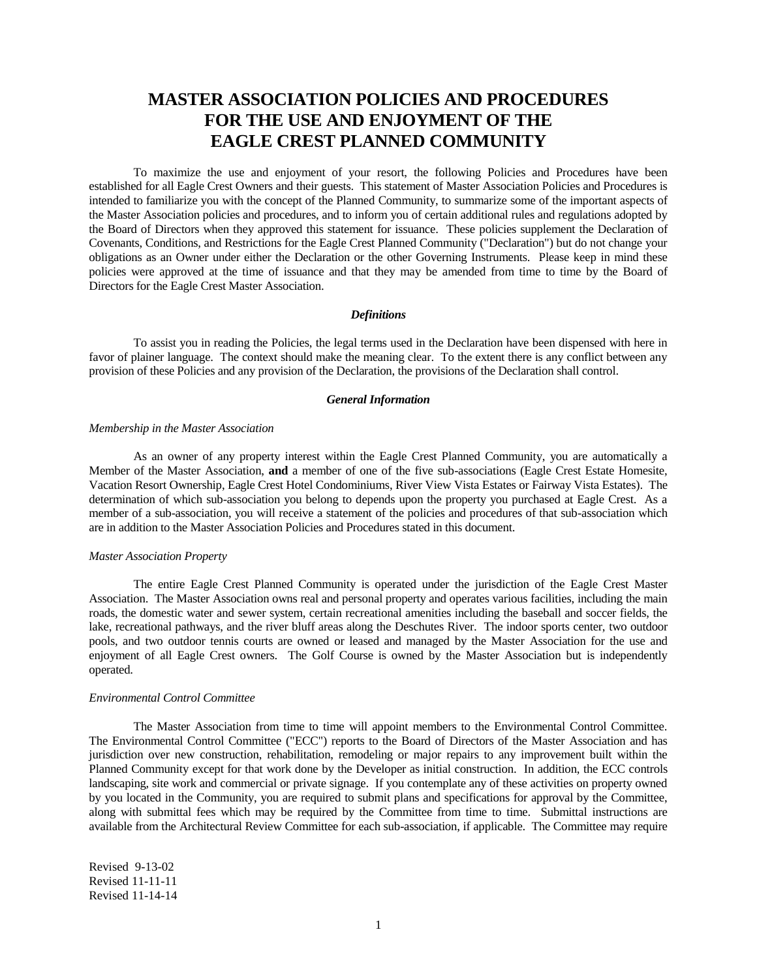# **MASTER ASSOCIATION POLICIES AND PROCEDURES FOR THE USE AND ENJOYMENT OF THE EAGLE CREST PLANNED COMMUNITY**

To maximize the use and enjoyment of your resort, the following Policies and Procedures have been established for all Eagle Crest Owners and their guests. This statement of Master Association Policies and Procedures is intended to familiarize you with the concept of the Planned Community, to summarize some of the important aspects of the Master Association policies and procedures, and to inform you of certain additional rules and regulations adopted by the Board of Directors when they approved this statement for issuance. These policies supplement the Declaration of Covenants, Conditions, and Restrictions for the Eagle Crest Planned Community ("Declaration") but do not change your obligations as an Owner under either the Declaration or the other Governing Instruments. Please keep in mind these policies were approved at the time of issuance and that they may be amended from time to time by the Board of Directors for the Eagle Crest Master Association.

## *Definitions*

To assist you in reading the Policies, the legal terms used in the Declaration have been dispensed with here in favor of plainer language. The context should make the meaning clear. To the extent there is any conflict between any provision of these Policies and any provision of the Declaration, the provisions of the Declaration shall control.

## *General Information*

## *Membership in the Master Association*

As an owner of any property interest within the Eagle Crest Planned Community, you are automatically a Member of the Master Association, **and** a member of one of the five sub-associations (Eagle Crest Estate Homesite, Vacation Resort Ownership, Eagle Crest Hotel Condominiums, River View Vista Estates or Fairway Vista Estates). The determination of which sub-association you belong to depends upon the property you purchased at Eagle Crest. As a member of a sub-association, you will receive a statement of the policies and procedures of that sub-association which are in addition to the Master Association Policies and Procedures stated in this document.

## *Master Association Property*

The entire Eagle Crest Planned Community is operated under the jurisdiction of the Eagle Crest Master Association. The Master Association owns real and personal property and operates various facilities, including the main roads, the domestic water and sewer system, certain recreational amenities including the baseball and soccer fields, the lake, recreational pathways, and the river bluff areas along the Deschutes River. The indoor sports center, two outdoor pools, and two outdoor tennis courts are owned or leased and managed by the Master Association for the use and enjoyment of all Eagle Crest owners. The Golf Course is owned by the Master Association but is independently operated.

#### *Environmental Control Committee*

The Master Association from time to time will appoint members to the Environmental Control Committee. The Environmental Control Committee ("ECC") reports to the Board of Directors of the Master Association and has jurisdiction over new construction, rehabilitation, remodeling or major repairs to any improvement built within the Planned Community except for that work done by the Developer as initial construction. In addition, the ECC controls landscaping, site work and commercial or private signage. If you contemplate any of these activities on property owned by you located in the Community, you are required to submit plans and specifications for approval by the Committee, along with submittal fees which may be required by the Committee from time to time. Submittal instructions are available from the Architectural Review Committee for each sub-association, if applicable. The Committee may require

Revised 9-13-02 Revised 11-11-11 Revised 11-14-14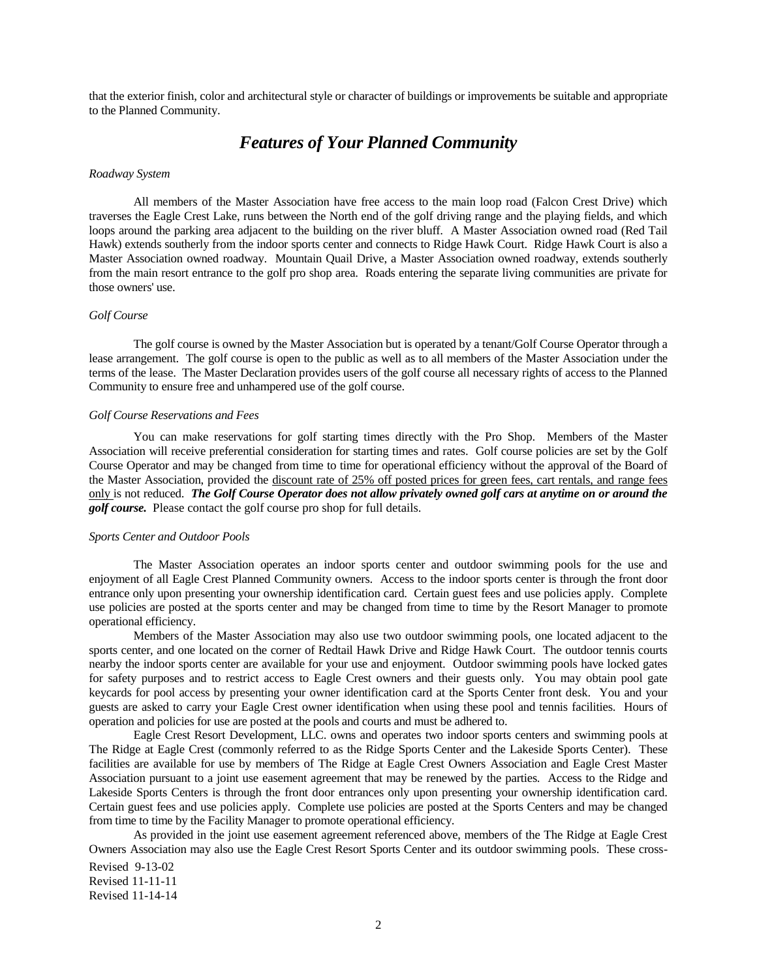that the exterior finish, color and architectural style or character of buildings or improvements be suitable and appropriate to the Planned Community.

## *Features of Your Planned Community*

#### *Roadway System*

All members of the Master Association have free access to the main loop road (Falcon Crest Drive) which traverses the Eagle Crest Lake, runs between the North end of the golf driving range and the playing fields, and which loops around the parking area adjacent to the building on the river bluff. A Master Association owned road (Red Tail Hawk) extends southerly from the indoor sports center and connects to Ridge Hawk Court. Ridge Hawk Court is also a Master Association owned roadway. Mountain Quail Drive, a Master Association owned roadway, extends southerly from the main resort entrance to the golf pro shop area. Roads entering the separate living communities are private for those owners' use.

### *Golf Course*

The golf course is owned by the Master Association but is operated by a tenant/Golf Course Operator through a lease arrangement. The golf course is open to the public as well as to all members of the Master Association under the terms of the lease. The Master Declaration provides users of the golf course all necessary rights of access to the Planned Community to ensure free and unhampered use of the golf course.

## *Golf Course Reservations and Fees*

You can make reservations for golf starting times directly with the Pro Shop. Members of the Master Association will receive preferential consideration for starting times and rates. Golf course policies are set by the Golf Course Operator and may be changed from time to time for operational efficiency without the approval of the Board of the Master Association, provided the discount rate of 25% off posted prices for green fees, cart rentals, and range fees only is not reduced. *The Golf Course Operator does not allow privately owned golf cars at anytime on or around the golf course.* Please contact the golf course pro shop for full details.

## *Sports Center and Outdoor Pools*

The Master Association operates an indoor sports center and outdoor swimming pools for the use and enjoyment of all Eagle Crest Planned Community owners. Access to the indoor sports center is through the front door entrance only upon presenting your ownership identification card. Certain guest fees and use policies apply. Complete use policies are posted at the sports center and may be changed from time to time by the Resort Manager to promote operational efficiency.

Members of the Master Association may also use two outdoor swimming pools, one located adjacent to the sports center, and one located on the corner of Redtail Hawk Drive and Ridge Hawk Court. The outdoor tennis courts nearby the indoor sports center are available for your use and enjoyment. Outdoor swimming pools have locked gates for safety purposes and to restrict access to Eagle Crest owners and their guests only. You may obtain pool gate keycards for pool access by presenting your owner identification card at the Sports Center front desk. You and your guests are asked to carry your Eagle Crest owner identification when using these pool and tennis facilities. Hours of operation and policies for use are posted at the pools and courts and must be adhered to.

Eagle Crest Resort Development, LLC. owns and operates two indoor sports centers and swimming pools at The Ridge at Eagle Crest (commonly referred to as the Ridge Sports Center and the Lakeside Sports Center). These facilities are available for use by members of The Ridge at Eagle Crest Owners Association and Eagle Crest Master Association pursuant to a joint use easement agreement that may be renewed by the parties. Access to the Ridge and Lakeside Sports Centers is through the front door entrances only upon presenting your ownership identification card. Certain guest fees and use policies apply. Complete use policies are posted at the Sports Centers and may be changed from time to time by the Facility Manager to promote operational efficiency.

As provided in the joint use easement agreement referenced above, members of the The Ridge at Eagle Crest Owners Association may also use the Eagle Crest Resort Sports Center and its outdoor swimming pools. These cross-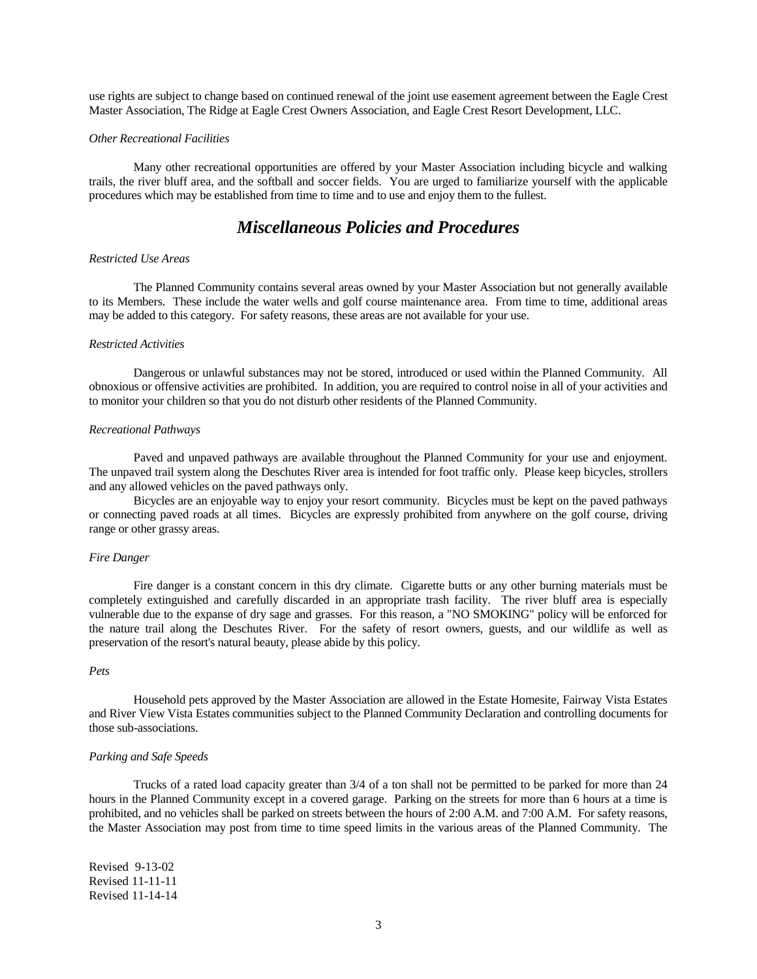use rights are subject to change based on continued renewal of the joint use easement agreement between the Eagle Crest Master Association, The Ridge at Eagle Crest Owners Association, and Eagle Crest Resort Development, LLC.

#### *Other Recreational Facilities*

Many other recreational opportunities are offered by your Master Association including bicycle and walking trails, the river bluff area, and the softball and soccer fields. You are urged to familiarize yourself with the applicable procedures which may be established from time to time and to use and enjoy them to the fullest.

## *Miscellaneous Policies and Procedures*

## *Restricted Use Areas*

The Planned Community contains several areas owned by your Master Association but not generally available to its Members. These include the water wells and golf course maintenance area. From time to time, additional areas may be added to this category. For safety reasons, these areas are not available for your use.

#### *Restricted Activities*

Dangerous or unlawful substances may not be stored, introduced or used within the Planned Community. All obnoxious or offensive activities are prohibited. In addition, you are required to control noise in all of your activities and to monitor your children so that you do not disturb other residents of the Planned Community.

### *Recreational Pathways*

Paved and unpaved pathways are available throughout the Planned Community for your use and enjoyment. The unpaved trail system along the Deschutes River area is intended for foot traffic only. Please keep bicycles, strollers and any allowed vehicles on the paved pathways only.

Bicycles are an enjoyable way to enjoy your resort community. Bicycles must be kept on the paved pathways or connecting paved roads at all times. Bicycles are expressly prohibited from anywhere on the golf course, driving range or other grassy areas.

#### *Fire Danger*

Fire danger is a constant concern in this dry climate. Cigarette butts or any other burning materials must be completely extinguished and carefully discarded in an appropriate trash facility. The river bluff area is especially vulnerable due to the expanse of dry sage and grasses. For this reason, a "NO SMOKING" policy will be enforced for the nature trail along the Deschutes River. For the safety of resort owners, guests, and our wildlife as well as preservation of the resort's natural beauty, please abide by this policy.

#### *Pets*

Household pets approved by the Master Association are allowed in the Estate Homesite, Fairway Vista Estates and River View Vista Estates communities subject to the Planned Community Declaration and controlling documents for those sub-associations.

## *Parking and Safe Speeds*

Trucks of a rated load capacity greater than 3/4 of a ton shall not be permitted to be parked for more than 24 hours in the Planned Community except in a covered garage. Parking on the streets for more than 6 hours at a time is prohibited, and no vehicles shall be parked on streets between the hours of 2:00 A.M. and 7:00 A.M. For safety reasons, the Master Association may post from time to time speed limits in the various areas of the Planned Community. The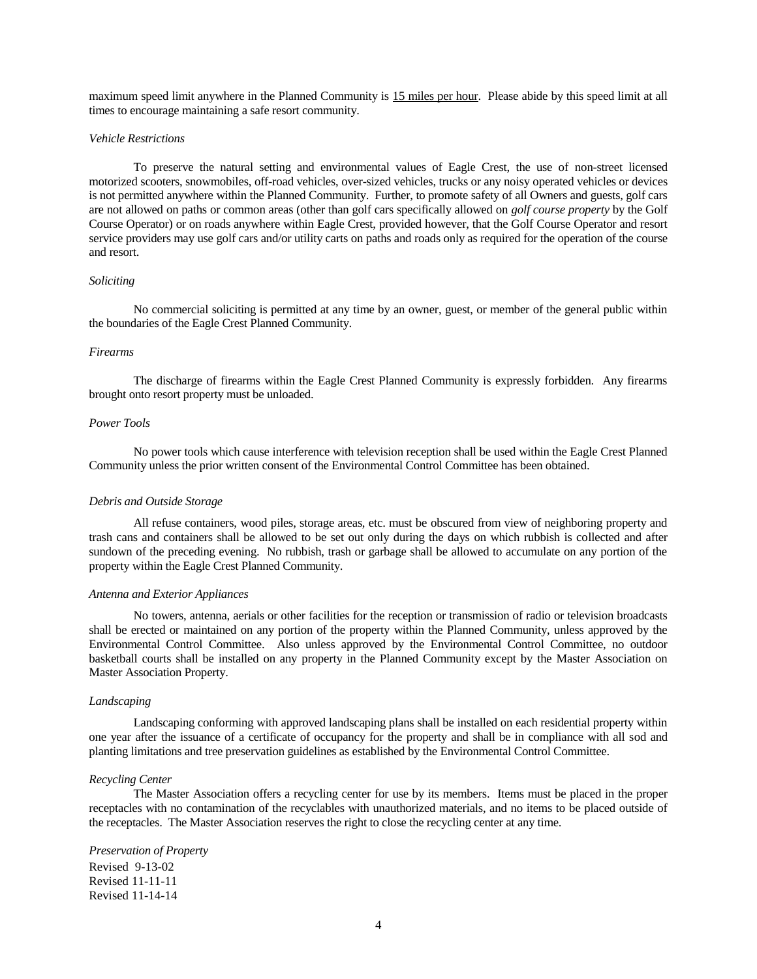maximum speed limit anywhere in the Planned Community is 15 miles per hour. Please abide by this speed limit at all times to encourage maintaining a safe resort community.

#### *Vehicle Restrictions*

To preserve the natural setting and environmental values of Eagle Crest, the use of non-street licensed motorized scooters, snowmobiles, off-road vehicles, over-sized vehicles, trucks or any noisy operated vehicles or devices is not permitted anywhere within the Planned Community. Further, to promote safety of all Owners and guests, golf cars are not allowed on paths or common areas (other than golf cars specifically allowed on *golf course property* by the Golf Course Operator) or on roads anywhere within Eagle Crest, provided however, that the Golf Course Operator and resort service providers may use golf cars and/or utility carts on paths and roads only as required for the operation of the course and resort.

#### *Soliciting*

No commercial soliciting is permitted at any time by an owner, guest, or member of the general public within the boundaries of the Eagle Crest Planned Community.

#### *Firearms*

The discharge of firearms within the Eagle Crest Planned Community is expressly forbidden. Any firearms brought onto resort property must be unloaded.

## *Power Tools*

No power tools which cause interference with television reception shall be used within the Eagle Crest Planned Community unless the prior written consent of the Environmental Control Committee has been obtained.

#### *Debris and Outside Storage*

All refuse containers, wood piles, storage areas, etc. must be obscured from view of neighboring property and trash cans and containers shall be allowed to be set out only during the days on which rubbish is collected and after sundown of the preceding evening. No rubbish, trash or garbage shall be allowed to accumulate on any portion of the property within the Eagle Crest Planned Community.

#### *Antenna and Exterior Appliances*

No towers, antenna, aerials or other facilities for the reception or transmission of radio or television broadcasts shall be erected or maintained on any portion of the property within the Planned Community, unless approved by the Environmental Control Committee. Also unless approved by the Environmental Control Committee, no outdoor basketball courts shall be installed on any property in the Planned Community except by the Master Association on Master Association Property.

#### *Landscaping*

Landscaping conforming with approved landscaping plans shall be installed on each residential property within one year after the issuance of a certificate of occupancy for the property and shall be in compliance with all sod and planting limitations and tree preservation guidelines as established by the Environmental Control Committee.

#### *Recycling Center*

The Master Association offers a recycling center for use by its members. Items must be placed in the proper receptacles with no contamination of the recyclables with unauthorized materials, and no items to be placed outside of the receptacles. The Master Association reserves the right to close the recycling center at any time.

#### *Preservation of Property*